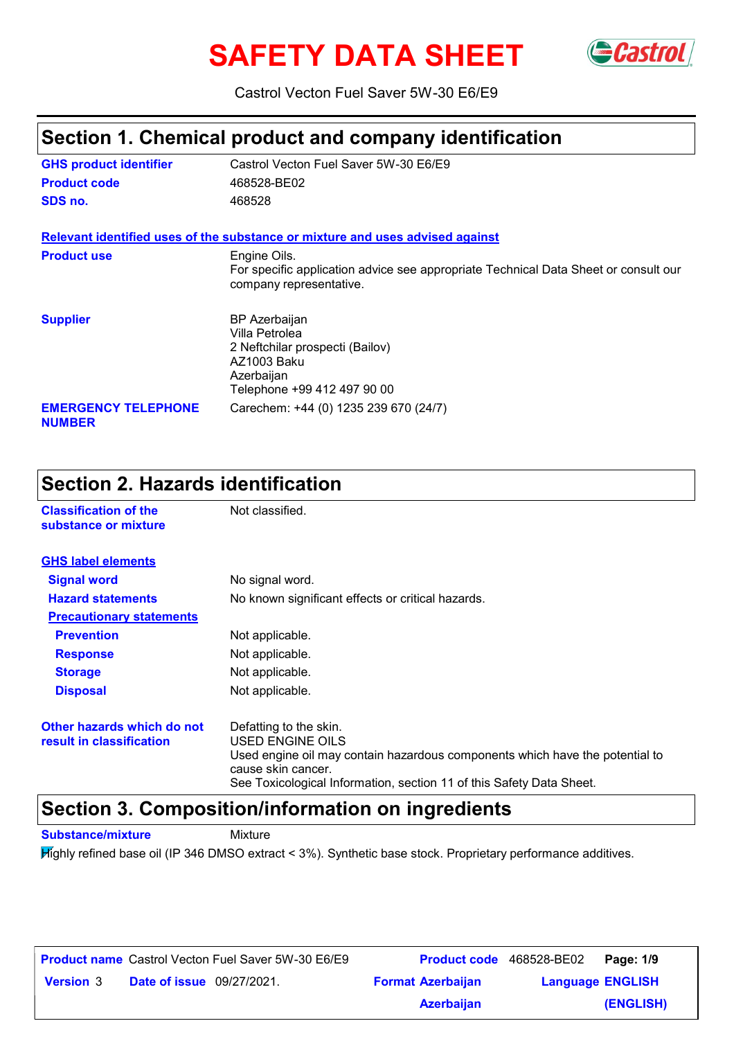# **SAFETY DATA SHEET** GCastrol



Castrol Vecton Fuel Saver 5W-30 E6/E9

### **Section 1. Chemical product and company identification**

| <b>GHS product identifier</b>               | Castrol Vecton Fuel Saver 5W-30 E6/E9                                                                                          |
|---------------------------------------------|--------------------------------------------------------------------------------------------------------------------------------|
| <b>Product code</b>                         | 468528-BE02                                                                                                                    |
| SDS no.                                     | 468528                                                                                                                         |
|                                             | Relevant identified uses of the substance or mixture and uses advised against                                                  |
| <b>Product use</b>                          | Engine Oils.<br>For specific application advice see appropriate Technical Data Sheet or consult our<br>company representative. |
| <b>Supplier</b>                             | BP Azerbaijan<br>Villa Petrolea<br>2 Neftchilar prospecti (Bailov)<br>AZ1003 Baku<br>Azerbaijan<br>Telephone +99 412 497 90 00 |
| <b>EMERGENCY TELEPHONE</b><br><b>NUMBER</b> | Carechem: +44 (0) 1235 239 670 (24/7)                                                                                          |

| <b>Section 2. Hazards identification</b>               |                                                                                                                                                                                                                          |  |
|--------------------------------------------------------|--------------------------------------------------------------------------------------------------------------------------------------------------------------------------------------------------------------------------|--|
| <b>Classification of the</b><br>substance or mixture   | Not classified.                                                                                                                                                                                                          |  |
| <b>GHS label elements</b>                              |                                                                                                                                                                                                                          |  |
| <b>Signal word</b>                                     | No signal word.                                                                                                                                                                                                          |  |
| <b>Hazard statements</b>                               | No known significant effects or critical hazards.                                                                                                                                                                        |  |
| <b>Precautionary statements</b>                        |                                                                                                                                                                                                                          |  |
| <b>Prevention</b>                                      | Not applicable.                                                                                                                                                                                                          |  |
| <b>Response</b>                                        | Not applicable.                                                                                                                                                                                                          |  |
| <b>Storage</b>                                         | Not applicable.                                                                                                                                                                                                          |  |
| <b>Disposal</b>                                        | Not applicable.                                                                                                                                                                                                          |  |
| Other hazards which do not<br>result in classification | Defatting to the skin.<br>USED ENGINE OILS<br>Used engine oil may contain hazardous components which have the potential to<br>cause skin cancer.<br>See Toxicological Information, section 11 of this Safety Data Sheet. |  |

#### **Section 3. Composition/information on ingredients**

**Substance/mixture Mixture** 

Highly refined base oil (IP 346 DMSO extract < 3%). Synthetic base stock. Proprietary performance additives.

|                  |                                  | <b>Product name</b> Castrol Vecton Fuel Saver 5W-30 E6/E9 | <b>Product code</b> 468528-BE02 |                         | Page: 1/9 |
|------------------|----------------------------------|-----------------------------------------------------------|---------------------------------|-------------------------|-----------|
| <b>Version 3</b> | <b>Date of issue</b> 09/27/2021. |                                                           | <b>Format Azerbaijan</b>        | <b>Language ENGLISH</b> |           |
|                  |                                  |                                                           | <b>Azerbaijan</b>               |                         | (ENGLISH) |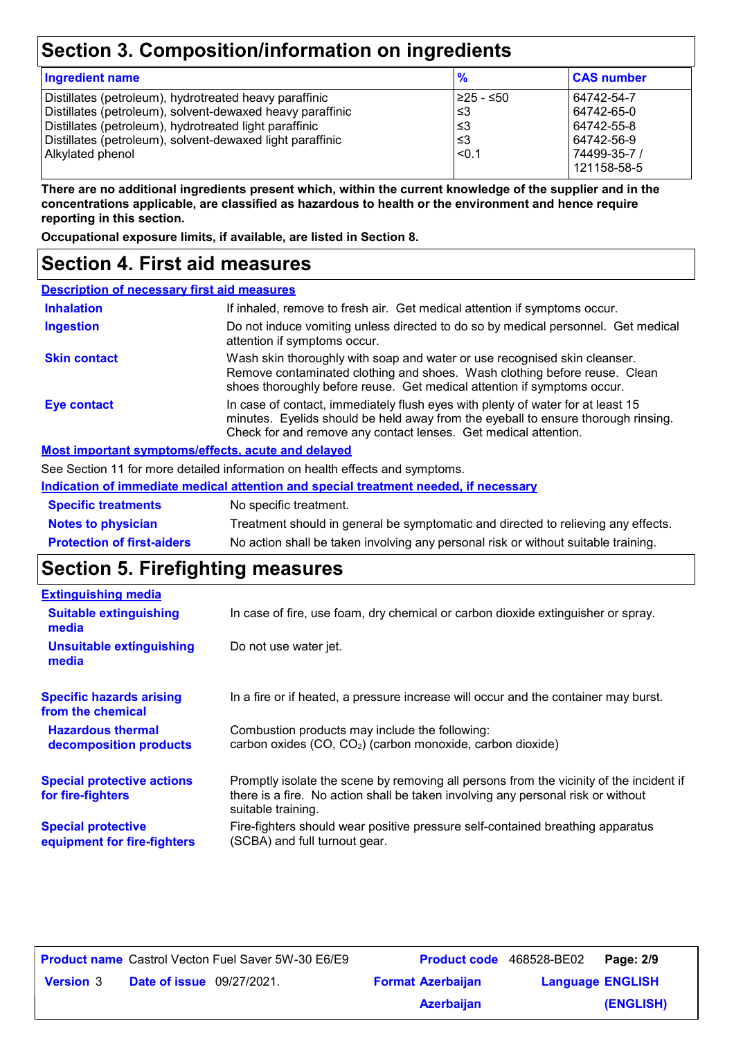### **Section 3. Composition/information on ingredients**

| <b>Ingredient name</b>                                    | $\frac{9}{6}$ | <b>CAS number</b> |
|-----------------------------------------------------------|---------------|-------------------|
| Distillates (petroleum), hydrotreated heavy paraffinic    | 1≥25 - ≤50    | 64742-54-7        |
| Distillates (petroleum), solvent-dewaxed heavy paraffinic | l ≤3          | 64742-65-0        |
| Distillates (petroleum), hydrotreated light paraffinic    | l ≤3          | 64742-55-8        |
| Distillates (petroleum), solvent-dewaxed light paraffinic | ا≤3           | 64742-56-9        |
| Alkylated phenol                                          | $ $ <0.1      | 74499-35-7 /      |
|                                                           |               | 121158-58-5       |

**There are no additional ingredients present which, within the current knowledge of the supplier and in the concentrations applicable, are classified as hazardous to health or the environment and hence require reporting in this section.**

**Occupational exposure limits, if available, are listed in Section 8.**

#### **Section 4. First aid measures**

| <b>Description of necessary first aid measures</b>        |                                                                                                                                                                                                                                         |
|-----------------------------------------------------------|-----------------------------------------------------------------------------------------------------------------------------------------------------------------------------------------------------------------------------------------|
| <b>Inhalation</b>                                         | If inhaled, remove to fresh air. Get medical attention if symptoms occur.                                                                                                                                                               |
| <b>Ingestion</b>                                          | Do not induce vomiting unless directed to do so by medical personnel. Get medical<br>attention if symptoms occur.                                                                                                                       |
| <b>Skin contact</b>                                       | Wash skin thoroughly with soap and water or use recognised skin cleanser.<br>Remove contaminated clothing and shoes. Wash clothing before reuse. Clean<br>shoes thoroughly before reuse. Get medical attention if symptoms occur.       |
| <b>Eye contact</b>                                        | In case of contact, immediately flush eyes with plenty of water for at least 15<br>minutes. Eyelids should be held away from the eyeball to ensure thorough rinsing.<br>Check for and remove any contact lenses. Get medical attention. |
| <b>Most important symptoms/effects, acute and delayed</b> |                                                                                                                                                                                                                                         |
|                                                           | See Section 11 for more detailed information on health effects and symptoms.                                                                                                                                                            |
|                                                           | <u>Indication of immediate medical attention and special treatment needed, if necessary</u>                                                                                                                                             |

| <b>Specific treatments</b>        | No specific treatment.                                                             |
|-----------------------------------|------------------------------------------------------------------------------------|
| <b>Notes to physician</b>         | Treatment should in general be symptomatic and directed to relieving any effects.  |
| <b>Protection of first-aiders</b> | No action shall be taken involving any personal risk or without suitable training. |

# **Section 5. Firefighting measures**

| <b>Extinguishing media</b>                               |                                                                                                                                                                                                   |
|----------------------------------------------------------|---------------------------------------------------------------------------------------------------------------------------------------------------------------------------------------------------|
| <b>Suitable extinguishing</b><br>media                   | In case of fire, use foam, dry chemical or carbon dioxide extinguisher or spray.                                                                                                                  |
| <b>Unsuitable extinguishing</b><br>media                 | Do not use water jet.                                                                                                                                                                             |
| <b>Specific hazards arising</b><br>from the chemical     | In a fire or if heated, a pressure increase will occur and the container may burst.                                                                                                               |
| <b>Hazardous thermal</b><br>decomposition products       | Combustion products may include the following:<br>carbon oxides (CO, CO <sub>2</sub> ) (carbon monoxide, carbon dioxide)                                                                          |
| <b>Special protective actions</b><br>for fire-fighters   | Promptly isolate the scene by removing all persons from the vicinity of the incident if<br>there is a fire. No action shall be taken involving any personal risk or without<br>suitable training. |
| <b>Special protective</b><br>equipment for fire-fighters | Fire-fighters should wear positive pressure self-contained breathing apparatus<br>(SCBA) and full turnout gear.                                                                                   |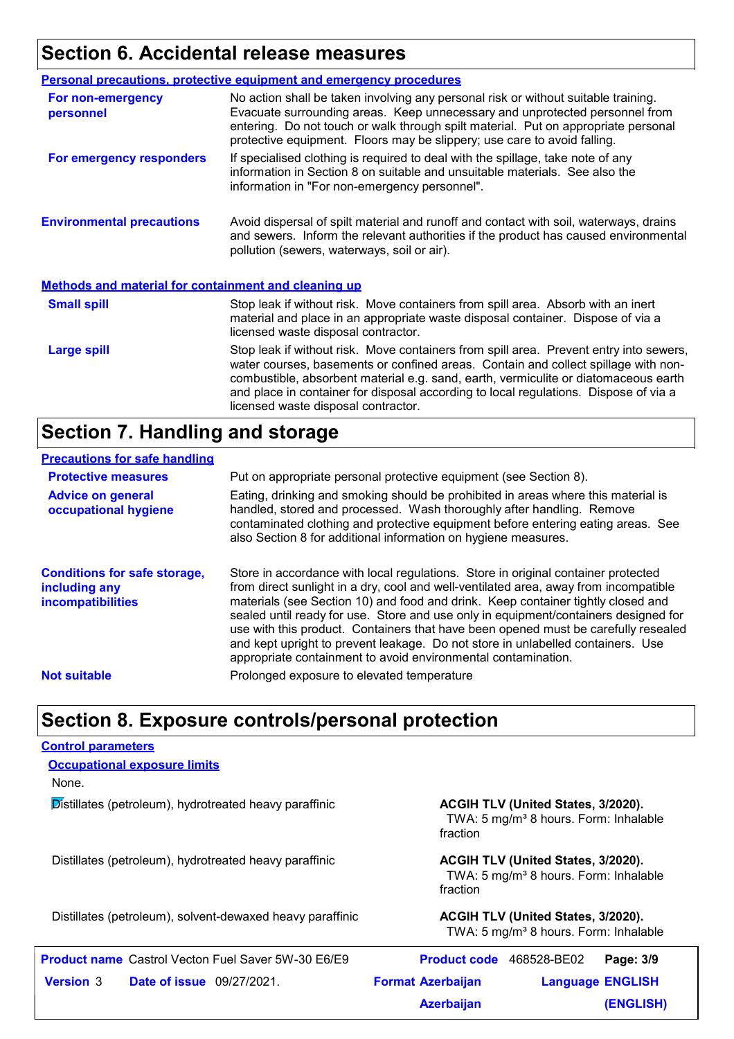# **Section 6. Accidental release measures**

|                                                             | <b>Personal precautions, protective equipment and emergency procedures</b>                                                                                                                                                                                                                                                                                                                         |
|-------------------------------------------------------------|----------------------------------------------------------------------------------------------------------------------------------------------------------------------------------------------------------------------------------------------------------------------------------------------------------------------------------------------------------------------------------------------------|
| For non-emergency<br>personnel                              | No action shall be taken involving any personal risk or without suitable training.<br>Evacuate surrounding areas. Keep unnecessary and unprotected personnel from<br>entering. Do not touch or walk through spilt material. Put on appropriate personal<br>protective equipment. Floors may be slippery; use care to avoid falling.                                                                |
| For emergency responders                                    | If specialised clothing is required to deal with the spillage, take note of any<br>information in Section 8 on suitable and unsuitable materials. See also the<br>information in "For non-emergency personnel".                                                                                                                                                                                    |
| <b>Environmental precautions</b>                            | Avoid dispersal of spilt material and runoff and contact with soil, waterways, drains<br>and sewers. Inform the relevant authorities if the product has caused environmental<br>pollution (sewers, waterways, soil or air).                                                                                                                                                                        |
| <b>Methods and material for containment and cleaning up</b> |                                                                                                                                                                                                                                                                                                                                                                                                    |
| <b>Small spill</b>                                          | Stop leak if without risk. Move containers from spill area. Absorb with an inert<br>material and place in an appropriate waste disposal container. Dispose of via a<br>licensed waste disposal contractor.                                                                                                                                                                                         |
| <b>Large spill</b>                                          | Stop leak if without risk. Move containers from spill area. Prevent entry into sewers,<br>water courses, basements or confined areas. Contain and collect spillage with non-<br>combustible, absorbent material e.g. sand, earth, vermiculite or diatomaceous earth<br>and place in container for disposal according to local regulations. Dispose of via a<br>licensed waste disposal contractor. |

### **Section 7. Handling and storage**

#### **Precautions for safe handling**

| <b>Protective measures</b><br><b>Advice on general</b><br>occupational hygiene | Put on appropriate personal protective equipment (see Section 8).<br>Eating, drinking and smoking should be prohibited in areas where this material is<br>handled, stored and processed. Wash thoroughly after handling. Remove<br>contaminated clothing and protective equipment before entering eating areas. See                                                                                                                                                                                                                                                                            |
|--------------------------------------------------------------------------------|------------------------------------------------------------------------------------------------------------------------------------------------------------------------------------------------------------------------------------------------------------------------------------------------------------------------------------------------------------------------------------------------------------------------------------------------------------------------------------------------------------------------------------------------------------------------------------------------|
|                                                                                | also Section 8 for additional information on hygiene measures.                                                                                                                                                                                                                                                                                                                                                                                                                                                                                                                                 |
| <b>Conditions for safe storage,</b><br>including any<br>incompatibilities      | Store in accordance with local regulations. Store in original container protected<br>from direct sunlight in a dry, cool and well-ventilated area, away from incompatible<br>materials (see Section 10) and food and drink. Keep container tightly closed and<br>sealed until ready for use. Store and use only in equipment/containers designed for<br>use with this product. Containers that have been opened must be carefully resealed<br>and kept upright to prevent leakage. Do not store in unlabelled containers. Use<br>appropriate containment to avoid environmental contamination. |
| <b>Not suitable</b>                                                            | Prolonged exposure to elevated temperature                                                                                                                                                                                                                                                                                                                                                                                                                                                                                                                                                     |

### **Section 8. Exposure controls/personal protection**

| <b>Control parameters</b>                                 |                                                                                                     |
|-----------------------------------------------------------|-----------------------------------------------------------------------------------------------------|
| <b>Occupational exposure limits</b>                       |                                                                                                     |
| None.                                                     |                                                                                                     |
| Distillates (petroleum), hydrotreated heavy paraffinic    | ACGIH TLV (United States, 3/2020).<br>TWA: 5 mg/m <sup>3</sup> 8 hours. Form: Inhalable<br>fraction |
| Distillates (petroleum), hydrotreated heavy paraffinic    | ACGIH TLV (United States, 3/2020).<br>TWA: 5 mg/m <sup>3</sup> 8 hours. Form: Inhalable<br>fraction |
| Distillates (petroleum), solvent-dewaxed heavy paraffinic | <b>ACGIH TLV (United States, 3/2020).</b><br>TWA: 5 mg/m <sup>3</sup> 8 hours. Form: Inhalable      |
| <b>Product name</b> Castrol Vecton Fuel Saver 5W-30 E6/E9 | <b>Product code</b><br>468528-BE02<br>Page: 3/9                                                     |
| <b>Date of issue</b> 09/27/2021.<br><b>Version 3</b>      | <b>Format Azerbaijan</b><br><b>Language ENGLISH</b>                                                 |
|                                                           | (ENGLISH)<br><b>Azerbaijan</b>                                                                      |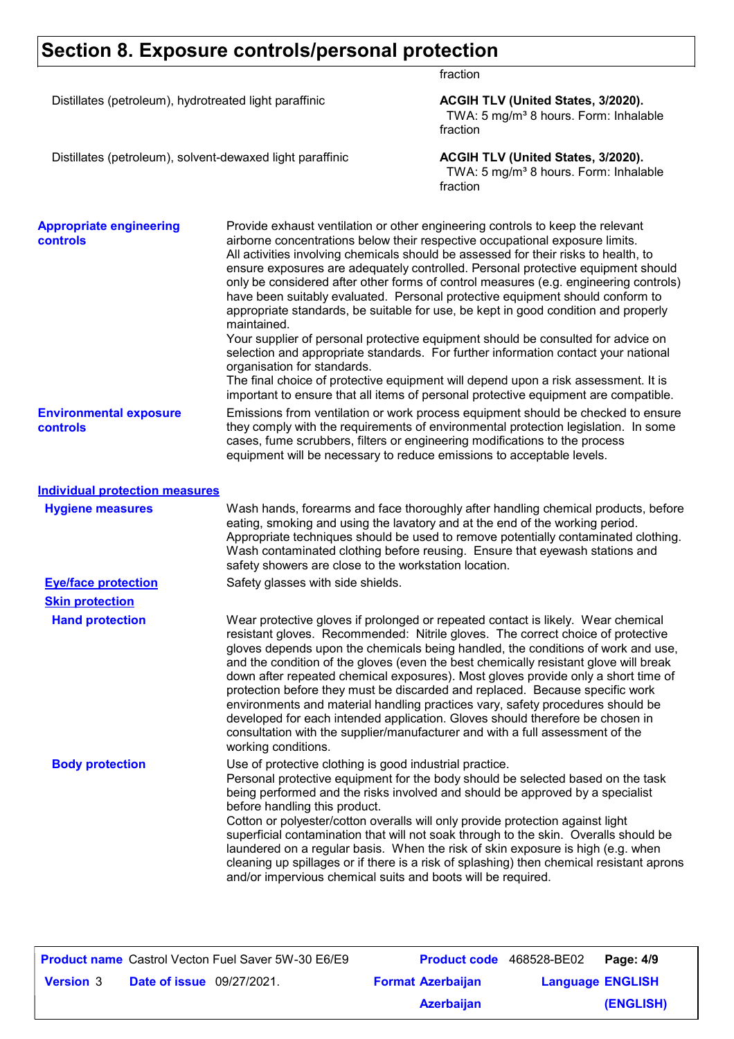# **Section 8. Exposure controls/personal protection**

fraction

|                                                           |                                                                                                                                                          | $II$ avuu $II$                                                                                                                                                                                                                                                                                                                                                                                                                                                                                                                                                                                                                                                                                                                                                                                                                                                                                                                                                  |  |  |
|-----------------------------------------------------------|----------------------------------------------------------------------------------------------------------------------------------------------------------|-----------------------------------------------------------------------------------------------------------------------------------------------------------------------------------------------------------------------------------------------------------------------------------------------------------------------------------------------------------------------------------------------------------------------------------------------------------------------------------------------------------------------------------------------------------------------------------------------------------------------------------------------------------------------------------------------------------------------------------------------------------------------------------------------------------------------------------------------------------------------------------------------------------------------------------------------------------------|--|--|
| Distillates (petroleum), hydrotreated light paraffinic    |                                                                                                                                                          | ACGIH TLV (United States, 3/2020).<br>TWA: 5 mg/m <sup>3</sup> 8 hours. Form: Inhalable<br>fraction                                                                                                                                                                                                                                                                                                                                                                                                                                                                                                                                                                                                                                                                                                                                                                                                                                                             |  |  |
| Distillates (petroleum), solvent-dewaxed light paraffinic |                                                                                                                                                          | ACGIH TLV (United States, 3/2020).<br>TWA: 5 mg/m <sup>3</sup> 8 hours. Form: Inhalable<br>fraction                                                                                                                                                                                                                                                                                                                                                                                                                                                                                                                                                                                                                                                                                                                                                                                                                                                             |  |  |
| <b>Appropriate engineering</b><br><b>controls</b>         | maintained.<br>organisation for standards.                                                                                                               | Provide exhaust ventilation or other engineering controls to keep the relevant<br>airborne concentrations below their respective occupational exposure limits.<br>All activities involving chemicals should be assessed for their risks to health, to<br>ensure exposures are adequately controlled. Personal protective equipment should<br>only be considered after other forms of control measures (e.g. engineering controls)<br>have been suitably evaluated. Personal protective equipment should conform to<br>appropriate standards, be suitable for use, be kept in good condition and properly<br>Your supplier of personal protective equipment should be consulted for advice on<br>selection and appropriate standards. For further information contact your national<br>The final choice of protective equipment will depend upon a risk assessment. It is<br>important to ensure that all items of personal protective equipment are compatible. |  |  |
| <b>Environmental exposure</b><br><b>controls</b>          |                                                                                                                                                          | Emissions from ventilation or work process equipment should be checked to ensure<br>they comply with the requirements of environmental protection legislation. In some<br>cases, fume scrubbers, filters or engineering modifications to the process<br>equipment will be necessary to reduce emissions to acceptable levels.                                                                                                                                                                                                                                                                                                                                                                                                                                                                                                                                                                                                                                   |  |  |
| <b>Individual protection measures</b>                     |                                                                                                                                                          |                                                                                                                                                                                                                                                                                                                                                                                                                                                                                                                                                                                                                                                                                                                                                                                                                                                                                                                                                                 |  |  |
| <b>Hygiene measures</b>                                   | safety showers are close to the workstation location.                                                                                                    | Wash hands, forearms and face thoroughly after handling chemical products, before<br>eating, smoking and using the lavatory and at the end of the working period.<br>Appropriate techniques should be used to remove potentially contaminated clothing.<br>Wash contaminated clothing before reusing. Ensure that eyewash stations and                                                                                                                                                                                                                                                                                                                                                                                                                                                                                                                                                                                                                          |  |  |
| <b>Eye/face protection</b>                                | Safety glasses with side shields.                                                                                                                        |                                                                                                                                                                                                                                                                                                                                                                                                                                                                                                                                                                                                                                                                                                                                                                                                                                                                                                                                                                 |  |  |
| <b>Skin protection</b>                                    |                                                                                                                                                          |                                                                                                                                                                                                                                                                                                                                                                                                                                                                                                                                                                                                                                                                                                                                                                                                                                                                                                                                                                 |  |  |
| <b>Hand protection</b>                                    | working conditions.                                                                                                                                      | Wear protective gloves if prolonged or repeated contact is likely. Wear chemical<br>resistant gloves. Recommended: Nitrile gloves. The correct choice of protective<br>gloves depends upon the chemicals being handled, the conditions of work and use,<br>and the condition of the gloves (even the best chemically resistant glove will break<br>down after repeated chemical exposures). Most gloves provide only a short time of<br>protection before they must be discarded and replaced. Because specific work<br>environments and material handling practices vary, safety procedures should be<br>developed for each intended application. Gloves should therefore be chosen in<br>consultation with the supplier/manufacturer and with a full assessment of the                                                                                                                                                                                        |  |  |
| <b>Body protection</b>                                    | Use of protective clothing is good industrial practice.<br>before handling this product.<br>and/or impervious chemical suits and boots will be required. | Personal protective equipment for the body should be selected based on the task<br>being performed and the risks involved and should be approved by a specialist<br>Cotton or polyester/cotton overalls will only provide protection against light<br>superficial contamination that will not soak through to the skin. Overalls should be<br>laundered on a regular basis. When the risk of skin exposure is high (e.g. when<br>cleaning up spillages or if there is a risk of splashing) then chemical resistant aprons                                                                                                                                                                                                                                                                                                                                                                                                                                       |  |  |

| <b>Product name</b> Castrol Vecton Fuel Saver 5W-30 E6/E9 |                          | <b>Product code</b> 468528-BE02   Page: 4/9 |           |
|-----------------------------------------------------------|--------------------------|---------------------------------------------|-----------|
| <b>Date of issue</b> 09/27/2021.<br><b>Version 3</b>      | <b>Format Azerbaijan</b> | <b>Language ENGLISH</b>                     |           |
|                                                           | <b>Azerbaijan</b>        |                                             | (ENGLISH) |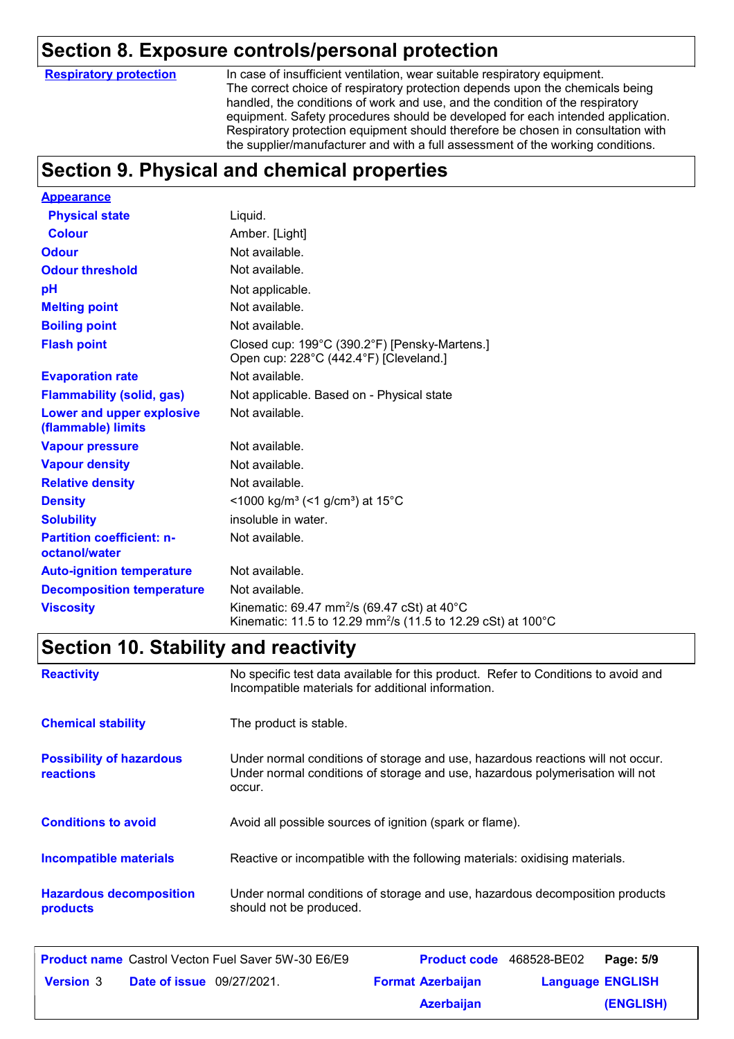#### **Section 8. Exposure controls/personal protection**

**Respiratory protection**

In case of insufficient ventilation, wear suitable respiratory equipment. The correct choice of respiratory protection depends upon the chemicals being handled, the conditions of work and use, and the condition of the respiratory equipment. Safety procedures should be developed for each intended application. Respiratory protection equipment should therefore be chosen in consultation with the supplier/manufacturer and with a full assessment of the working conditions.

### **Section 9. Physical and chemical properties**

| <b>Appearance</b>                                 |                                                                                                                                                |
|---------------------------------------------------|------------------------------------------------------------------------------------------------------------------------------------------------|
| <b>Physical state</b>                             | Liquid.                                                                                                                                        |
| <b>Colour</b>                                     | Amber. [Light]                                                                                                                                 |
| <b>Odour</b>                                      | Not available.                                                                                                                                 |
| <b>Odour threshold</b>                            | Not available.                                                                                                                                 |
| pH                                                | Not applicable.                                                                                                                                |
| <b>Melting point</b>                              | Not available.                                                                                                                                 |
| <b>Boiling point</b>                              | Not available.                                                                                                                                 |
| <b>Flash point</b>                                | Closed cup: 199°C (390.2°F) [Pensky-Martens.]<br>Open cup: 228°C (442.4°F) [Cleveland.]                                                        |
| <b>Evaporation rate</b>                           | Not available.                                                                                                                                 |
| <b>Flammability (solid, gas)</b>                  | Not applicable. Based on - Physical state                                                                                                      |
| Lower and upper explosive<br>(flammable) limits   | Not available.                                                                                                                                 |
| <b>Vapour pressure</b>                            | Not available.                                                                                                                                 |
| <b>Vapour density</b>                             | Not available.                                                                                                                                 |
| <b>Relative density</b>                           | Not available.                                                                                                                                 |
| <b>Density</b>                                    | <1000 kg/m <sup>3</sup> (<1 g/cm <sup>3</sup> ) at 15°C                                                                                        |
| <b>Solubility</b>                                 | insoluble in water.                                                                                                                            |
| <b>Partition coefficient: n-</b><br>octanol/water | Not available.                                                                                                                                 |
| <b>Auto-ignition temperature</b>                  | Not available.                                                                                                                                 |
| <b>Decomposition temperature</b>                  | Not available.                                                                                                                                 |
| <b>Viscosity</b>                                  | Kinematic: 69.47 mm <sup>2</sup> /s (69.47 cSt) at 40 $^{\circ}$ C<br>Kinematic: 11.5 to 12.29 mm <sup>2</sup> /s (11.5 to 12.29 cSt) at 100°C |

### **Section 10. Stability and reactivity**

| <b>Reactivity</b>                                   | No specific test data available for this product. Refer to Conditions to avoid and<br>Incompatible materials for additional information.                                   |
|-----------------------------------------------------|----------------------------------------------------------------------------------------------------------------------------------------------------------------------------|
| <b>Chemical stability</b>                           | The product is stable.                                                                                                                                                     |
| <b>Possibility of hazardous</b><br><b>reactions</b> | Under normal conditions of storage and use, hazardous reactions will not occur.<br>Under normal conditions of storage and use, hazardous polymerisation will not<br>occur. |
| <b>Conditions to avoid</b>                          | Avoid all possible sources of ignition (spark or flame).                                                                                                                   |
| <b>Incompatible materials</b>                       | Reactive or incompatible with the following materials: oxidising materials.                                                                                                |
| <b>Hazardous decomposition</b><br>products          | Under normal conditions of storage and use, hazardous decomposition products<br>should not be produced.                                                                    |

|                                                      |  | <b>Product name</b> Castrol Vecton Fuel Saver 5W-30 E6/E9 | <b>Product code</b> 468528-BE02 |  | Page: 5/9 |
|------------------------------------------------------|--|-----------------------------------------------------------|---------------------------------|--|-----------|
| <b>Date of issue</b> 09/27/2021.<br><b>Version 3</b> |  | <b>Format Azerbaijan</b>                                  | <b>Language ENGLISH</b>         |  |           |
|                                                      |  |                                                           | <b>Azerbaijan</b>               |  | (ENGLISH) |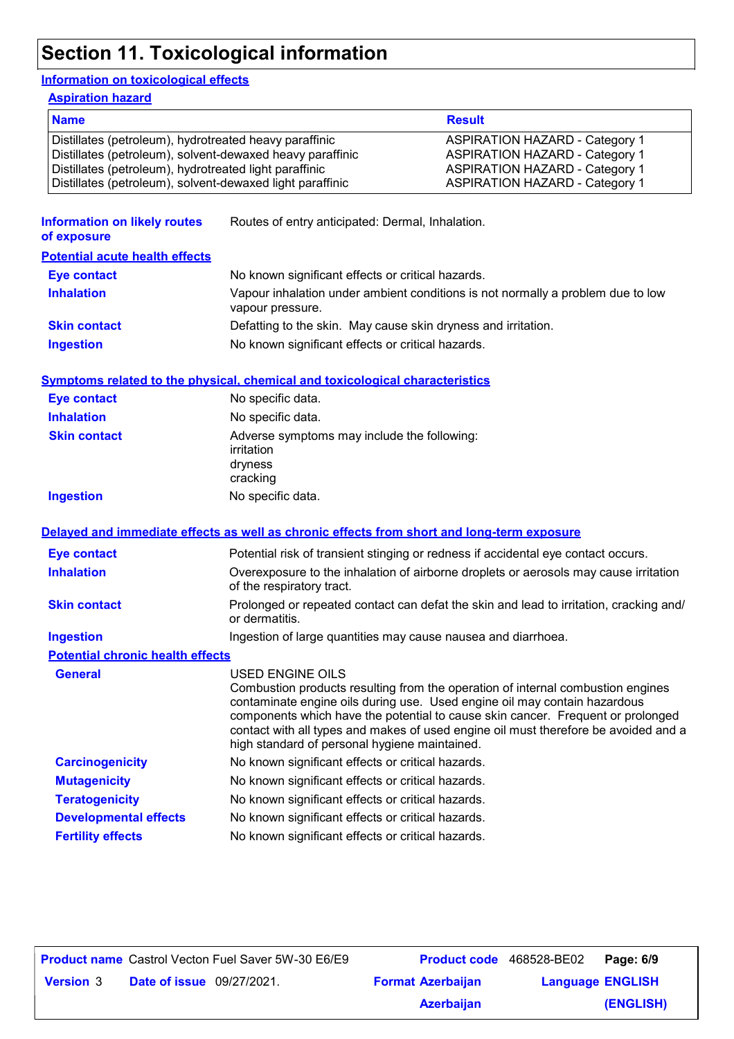## **Section 11. Toxicological information**

#### **Information on toxicological effects**

**Aspiration hazard**

| <b>Name</b>                                               | <b>Result</b>                         |
|-----------------------------------------------------------|---------------------------------------|
| Distillates (petroleum), hydrotreated heavy paraffinic    | <b>ASPIRATION HAZARD - Category 1</b> |
| Distillates (petroleum), solvent-dewaxed heavy paraffinic | <b>ASPIRATION HAZARD - Category 1</b> |
| Distillates (petroleum), hydrotreated light paraffinic    | <b>ASPIRATION HAZARD - Category 1</b> |
| Distillates (petroleum), solvent-dewaxed light paraffinic | <b>ASPIRATION HAZARD - Category 1</b> |
|                                                           |                                       |

| <b>Information on likely routes</b><br>of exposure | Routes of entry anticipated: Dermal, Inhalation.                                                                                                                                                                                                                                                                                                                                                            |
|----------------------------------------------------|-------------------------------------------------------------------------------------------------------------------------------------------------------------------------------------------------------------------------------------------------------------------------------------------------------------------------------------------------------------------------------------------------------------|
| <b>Potential acute health effects</b>              |                                                                                                                                                                                                                                                                                                                                                                                                             |
| Eye contact                                        | No known significant effects or critical hazards.                                                                                                                                                                                                                                                                                                                                                           |
| <b>Inhalation</b>                                  | Vapour inhalation under ambient conditions is not normally a problem due to low<br>vapour pressure.                                                                                                                                                                                                                                                                                                         |
| <b>Skin contact</b>                                | Defatting to the skin. May cause skin dryness and irritation.                                                                                                                                                                                                                                                                                                                                               |
| <b>Ingestion</b>                                   | No known significant effects or critical hazards.                                                                                                                                                                                                                                                                                                                                                           |
|                                                    | <b>Symptoms related to the physical, chemical and toxicological characteristics</b>                                                                                                                                                                                                                                                                                                                         |
| <b>Eye contact</b>                                 | No specific data.                                                                                                                                                                                                                                                                                                                                                                                           |
| <b>Inhalation</b>                                  | No specific data.                                                                                                                                                                                                                                                                                                                                                                                           |
| <b>Skin contact</b>                                | Adverse symptoms may include the following:<br>irritation<br>dryness<br>cracking                                                                                                                                                                                                                                                                                                                            |
| <b>Ingestion</b>                                   | No specific data.                                                                                                                                                                                                                                                                                                                                                                                           |
| <b>Eye contact</b>                                 | Delayed and immediate effects as well as chronic effects from short and long-term exposure<br>Potential risk of transient stinging or redness if accidental eye contact occurs.                                                                                                                                                                                                                             |
| <b>Inhalation</b>                                  | Overexposure to the inhalation of airborne droplets or aerosols may cause irritation<br>of the respiratory tract.                                                                                                                                                                                                                                                                                           |
| <b>Skin contact</b>                                | Prolonged or repeated contact can defat the skin and lead to irritation, cracking and/<br>or dermatitis.                                                                                                                                                                                                                                                                                                    |
| <b>Ingestion</b>                                   | Ingestion of large quantities may cause nausea and diarrhoea.                                                                                                                                                                                                                                                                                                                                               |
| <b>Potential chronic health effects</b>            |                                                                                                                                                                                                                                                                                                                                                                                                             |
| <b>General</b>                                     | USED ENGINE OILS<br>Combustion products resulting from the operation of internal combustion engines<br>contaminate engine oils during use. Used engine oil may contain hazardous<br>components which have the potential to cause skin cancer. Frequent or prolonged<br>contact with all types and makes of used engine oil must therefore be avoided and a<br>high standard of personal hygiene maintained. |
| <b>Carcinogenicity</b>                             | No known significant effects or critical hazards.                                                                                                                                                                                                                                                                                                                                                           |
| <b>Mutagenicity</b>                                | No known significant effects or critical hazards.                                                                                                                                                                                                                                                                                                                                                           |
| <b>Teratogenicity</b>                              | No known significant effects or critical hazards.                                                                                                                                                                                                                                                                                                                                                           |
| <b>Developmental effects</b>                       | No known significant effects or critical hazards.                                                                                                                                                                                                                                                                                                                                                           |
| <b>Fertility effects</b>                           | No known significant effects or critical hazards.                                                                                                                                                                                                                                                                                                                                                           |
|                                                    |                                                                                                                                                                                                                                                                                                                                                                                                             |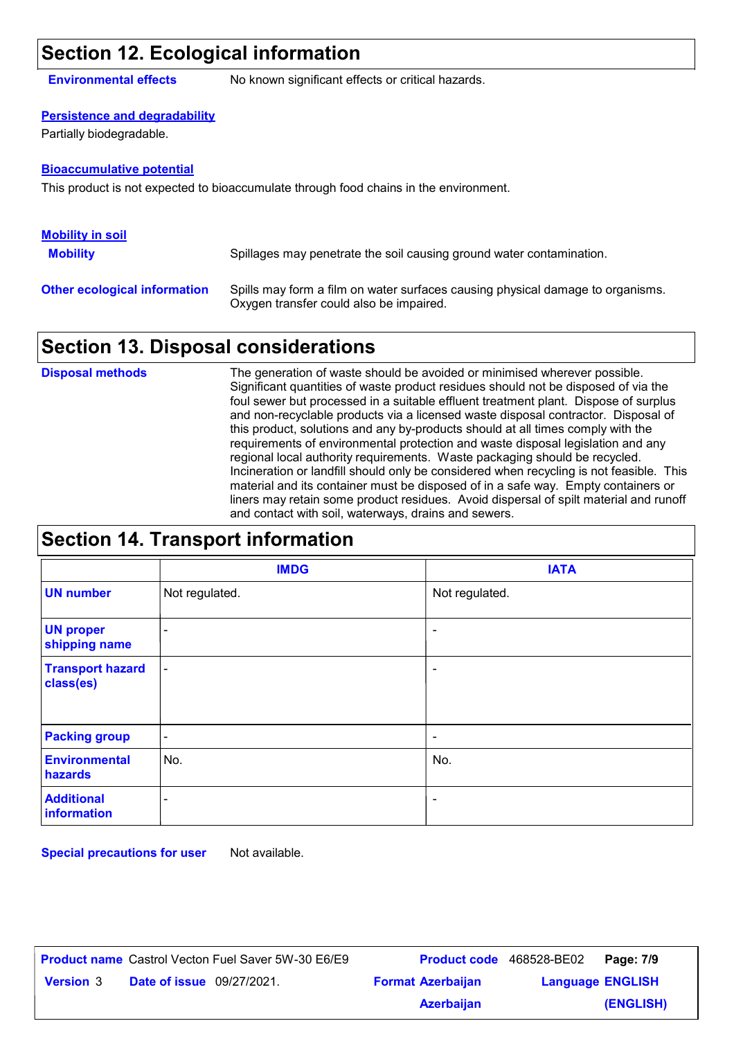#### **Section 12. Ecological information**

**Environmental effects** No known significant effects or critical hazards.

#### **Persistence and degradability**

Partially biodegradable.

#### **Bioaccumulative potential**

This product is not expected to bioaccumulate through food chains in the environment.

| <b>Mobility in soil</b>             |                                                                                                                           |
|-------------------------------------|---------------------------------------------------------------------------------------------------------------------------|
| <b>Mobility</b>                     | Spillages may penetrate the soil causing ground water contamination.                                                      |
| <b>Other ecological information</b> | Spills may form a film on water surfaces causing physical damage to organisms.<br>Oxygen transfer could also be impaired. |

#### **Section 13. Disposal considerations**

The generation of waste should be avoided or minimised wherever possible. Significant quantities of waste product residues should not be disposed of via the foul sewer but processed in a suitable effluent treatment plant. Dispose of surplus and non-recyclable products via a licensed waste disposal contractor. Disposal of this product, solutions and any by-products should at all times comply with the requirements of environmental protection and waste disposal legislation and any regional local authority requirements. Waste packaging should be recycled. Incineration or landfill should only be considered when recycling is not feasible. This material and its container must be disposed of in a safe way. Empty containers or liners may retain some product residues. Avoid dispersal of spilt material and runoff and contact with soil, waterways, drains and sewers. **Disposal methods**

| <b>Section 14. Transport information</b> |  |
|------------------------------------------|--|
|------------------------------------------|--|

|                                      | <b>IMDG</b>              | <b>IATA</b>              |
|--------------------------------------|--------------------------|--------------------------|
| <b>UN number</b>                     | Not regulated.           | Not regulated.           |
| <b>UN proper</b><br>shipping name    | $\overline{\phantom{a}}$ | $\overline{\phantom{a}}$ |
| <b>Transport hazard</b><br>class(es) | $\blacksquare$           | $\overline{\phantom{a}}$ |
| <b>Packing group</b>                 | $\overline{\phantom{a}}$ | $\overline{\phantom{a}}$ |
| <b>Environmental</b><br>hazards      | No.                      | No.                      |
| <b>Additional</b><br>information     | -                        | $\overline{\phantom{a}}$ |

**Special precautions for user** Not available.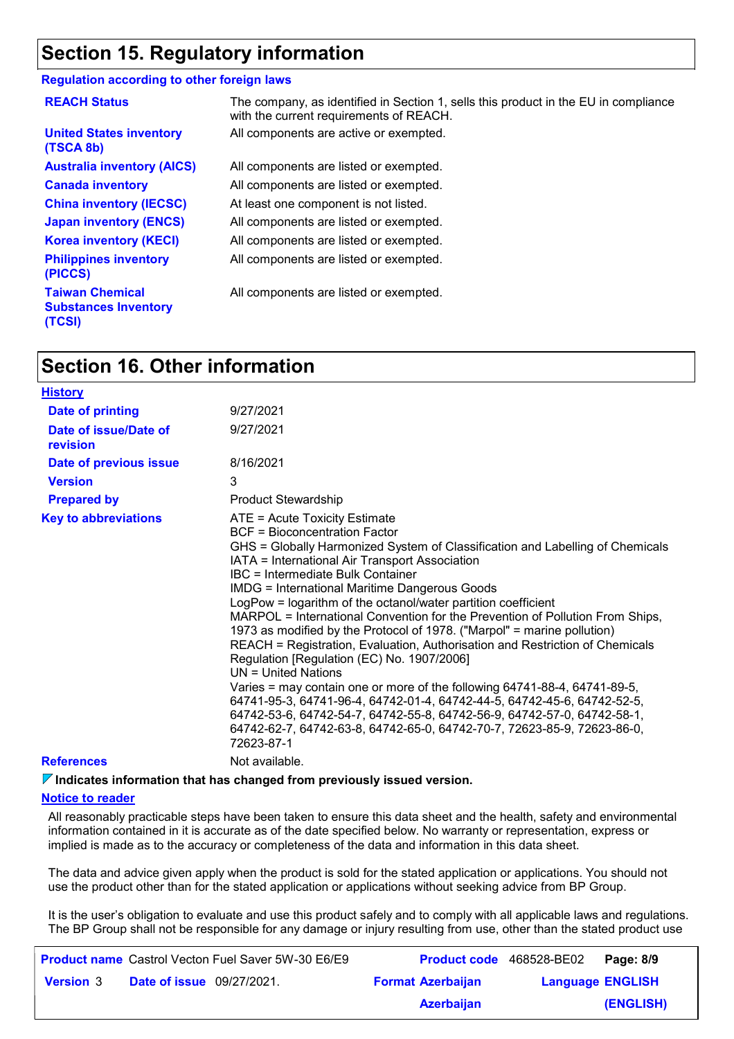#### **Section 15. Regulatory information**

#### **Regulation according to other foreign laws**

| <b>REACH Status</b>                                             | The company, as identified in Section 1, sells this product in the EU in compliance<br>with the current requirements of REACH. |
|-----------------------------------------------------------------|--------------------------------------------------------------------------------------------------------------------------------|
| <b>United States inventory</b><br>(TSCA 8b)                     | All components are active or exempted.                                                                                         |
| <b>Australia inventory (AICS)</b>                               | All components are listed or exempted.                                                                                         |
| <b>Canada inventory</b>                                         | All components are listed or exempted.                                                                                         |
| <b>China inventory (IECSC)</b>                                  | At least one component is not listed.                                                                                          |
| <b>Japan inventory (ENCS)</b>                                   | All components are listed or exempted.                                                                                         |
| <b>Korea inventory (KECI)</b>                                   | All components are listed or exempted.                                                                                         |
| <b>Philippines inventory</b><br>(PICCS)                         | All components are listed or exempted.                                                                                         |
| <b>Taiwan Chemical</b><br><b>Substances Inventory</b><br>(TCSI) | All components are listed or exempted.                                                                                         |

#### **Section 16. Other information**

| <b>History</b>                    |                                                                                                                                                                                                                                                                                                                                                                                                                                                                                                                                                                                                                                                                                                                                                                                                                                                                                                                                                                                                                |
|-----------------------------------|----------------------------------------------------------------------------------------------------------------------------------------------------------------------------------------------------------------------------------------------------------------------------------------------------------------------------------------------------------------------------------------------------------------------------------------------------------------------------------------------------------------------------------------------------------------------------------------------------------------------------------------------------------------------------------------------------------------------------------------------------------------------------------------------------------------------------------------------------------------------------------------------------------------------------------------------------------------------------------------------------------------|
| Date of printing                  | 9/27/2021                                                                                                                                                                                                                                                                                                                                                                                                                                                                                                                                                                                                                                                                                                                                                                                                                                                                                                                                                                                                      |
| Date of issue/Date of<br>revision | 9/27/2021                                                                                                                                                                                                                                                                                                                                                                                                                                                                                                                                                                                                                                                                                                                                                                                                                                                                                                                                                                                                      |
| Date of previous issue            | 8/16/2021                                                                                                                                                                                                                                                                                                                                                                                                                                                                                                                                                                                                                                                                                                                                                                                                                                                                                                                                                                                                      |
| <b>Version</b>                    | 3                                                                                                                                                                                                                                                                                                                                                                                                                                                                                                                                                                                                                                                                                                                                                                                                                                                                                                                                                                                                              |
| <b>Prepared by</b>                | <b>Product Stewardship</b>                                                                                                                                                                                                                                                                                                                                                                                                                                                                                                                                                                                                                                                                                                                                                                                                                                                                                                                                                                                     |
| <b>Key to abbreviations</b>       | ATE = Acute Toxicity Estimate<br>BCF = Bioconcentration Factor<br>GHS = Globally Harmonized System of Classification and Labelling of Chemicals<br>IATA = International Air Transport Association<br>IBC = Intermediate Bulk Container<br><b>IMDG = International Maritime Dangerous Goods</b><br>LogPow = logarithm of the octanol/water partition coefficient<br>MARPOL = International Convention for the Prevention of Pollution From Ships,<br>1973 as modified by the Protocol of 1978. ("Marpol" = marine pollution)<br>REACH = Registration, Evaluation, Authorisation and Restriction of Chemicals<br>Regulation [Regulation (EC) No. 1907/2006]<br>$UN = United Nations$<br>Varies = may contain one or more of the following 64741-88-4, 64741-89-5,<br>64741-95-3, 64741-96-4, 64742-01-4, 64742-44-5, 64742-45-6, 64742-52-5,<br>64742-53-6, 64742-54-7, 64742-55-8, 64742-56-9, 64742-57-0, 64742-58-1,<br>64742-62-7, 64742-63-8, 64742-65-0, 64742-70-7, 72623-85-9, 72623-86-0,<br>72623-87-1 |
| <b>References</b>                 | Not available.                                                                                                                                                                                                                                                                                                                                                                                                                                                                                                                                                                                                                                                                                                                                                                                                                                                                                                                                                                                                 |
|                                   |                                                                                                                                                                                                                                                                                                                                                                                                                                                                                                                                                                                                                                                                                                                                                                                                                                                                                                                                                                                                                |

**Indicates information that has changed from previously issued version.**

#### **Notice to reader**

All reasonably practicable steps have been taken to ensure this data sheet and the health, safety and environmental information contained in it is accurate as of the date specified below. No warranty or representation, express or implied is made as to the accuracy or completeness of the data and information in this data sheet.

The data and advice given apply when the product is sold for the stated application or applications. You should not use the product other than for the stated application or applications without seeking advice from BP Group.

It is the user's obligation to evaluate and use this product safely and to comply with all applicable laws and regulations. The BP Group shall not be responsible for any damage or injury resulting from use, other than the stated product use

|                  |                                  | <b>Product name</b> Castrol Vecton Fuel Saver 5W-30 E6/E9 |                          | <b>Product code</b> 468528-BE02 <b>Page: 8/9</b> |           |
|------------------|----------------------------------|-----------------------------------------------------------|--------------------------|--------------------------------------------------|-----------|
| <b>Version</b> 3 | <b>Date of issue</b> 09/27/2021. |                                                           | <b>Format Azerbaijan</b> | <b>Language ENGLISH</b>                          |           |
|                  |                                  |                                                           | <b>Azerbaijan</b>        |                                                  | (ENGLISH) |